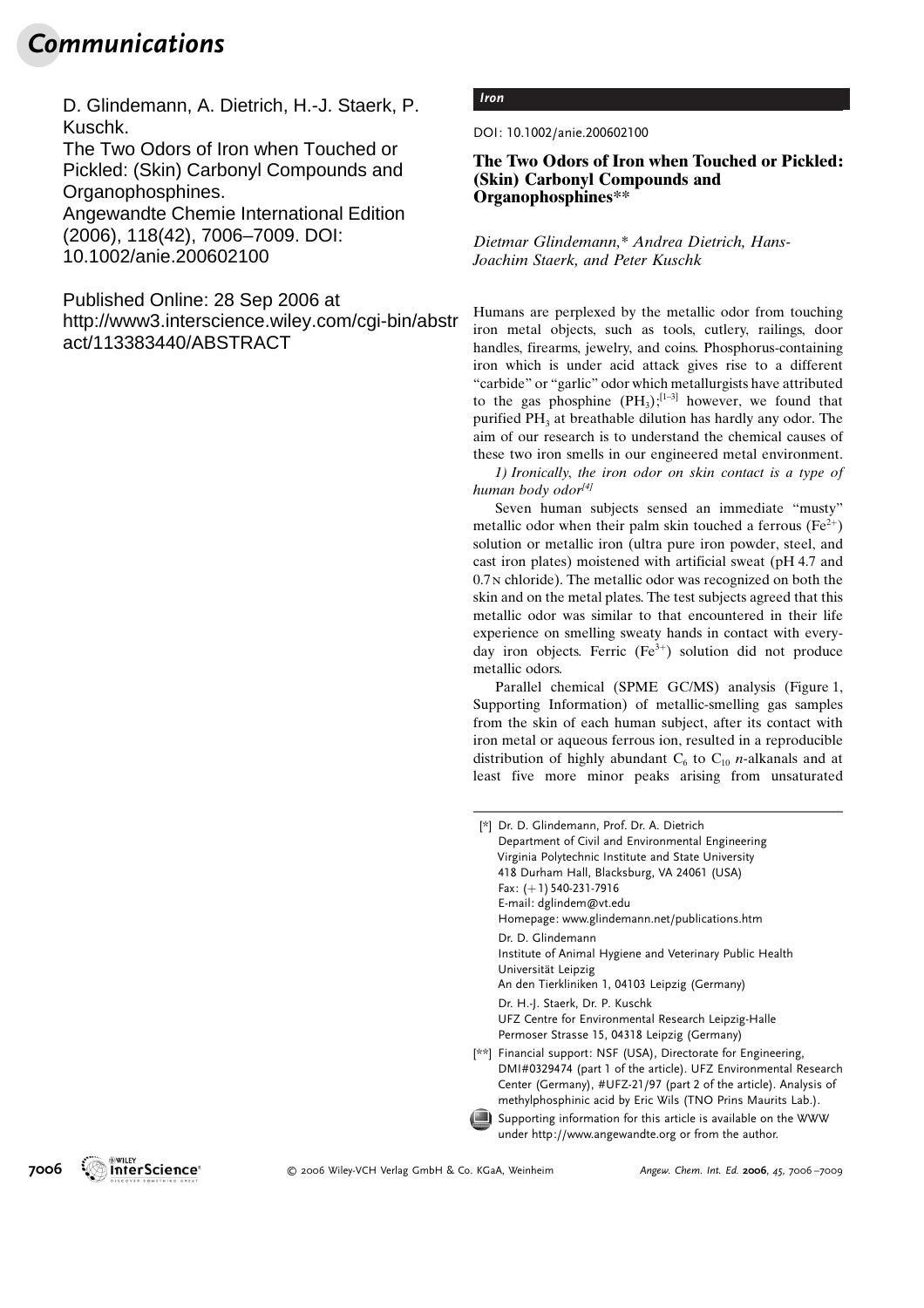## **Communications**

D. Glindemann, A. Dietrich, H.-J. Staerk, P. Kuschk.

The Two Odors of Iron when Touched or Pickled: (Skin) Carbonyl Compounds and Organophosphines.

Angewandte Chemie International Edition (2006), 118(42), 7006–7009. DOI: 10.1002/anie.200602100

Published Online: 28 Sep 2006 at http://www3.interscience.wiley.com/cgi-bin/abstr act/113383440/ABSTRACT

## Iron

DOI: 10.1002/anie.200602100

## The Two Odors of Iron when Touched or Pickled: (Skin) Carbonyl Compounds and Organophosphines\*\*

Dietmar Glindemann,\* Andrea Dietrich, Hans-Joachim Staerk, and Peter Kuschk

Humans are perplexed by the metallic odor from touching iron metal objects, such as tools, cutlery, railings, door handles, firearms, jewelry, and coins. Phosphorus-containing iron which is under acid attack gives rise to a different "carbide" or "garlic" odor which metallurgists have attributed to the gas phosphine  $(PH_3)$ ;  $[1-3]$  however, we found that purified PH3 at breathable dilution has hardly any odor. The aim of our research is to understand the chemical causes of these two iron smells in our engineered metal environment.

1) Ironically, the iron odor on skin contact is a type of human body odor<sup>[4]</sup>

Seven human subjects sensed an immediate "musty" metallic odor when their palm skin touched a ferrous ( $Fe^{2+}$ ) solution or metallic iron (ultra pure iron powder, steel, and cast iron plates) moistened with artificial sweat (pH 4.7 and 0.7n chloride). The metallic odor was recognized on both the skin and on the metal plates. The test subjects agreed that this metallic odor was similar to that encountered in their life experience on smelling sweaty hands in contact with everyday iron objects. Ferric  $(Fe^{3+})$  solution did not produce metallic odors.

Parallel chemical (SPME GC/MS) analysis (Figure 1, Supporting Information) of metallic-smelling gas samples from the skin of each human subject, after its contact with iron metal or aqueous ferrous ion, resulted in a reproducible distribution of highly abundant  $C_6$  to  $C_{10}$  *n*-alkanals and at least five more minor peaks arising from unsaturated

Dr. D. Glindemann

Institute of Animal Hygiene and Veterinary Public Health Universität Leipzig

An den Tierkliniken 1, 04103 Leipzig (Germany)

Dr. H.-J. Staerk, Dr. P. Kuschk

UFZ Centre for Environmental Research Leipzig-Halle Permoser Strasse 15, 04318 Leipzig (Germany)

[\*\*] Financial support: NSF (USA), Directorate for Engineering, DMI#0329474 (part 1 of the article). UFZ Environmental Research Center (Germany), #UFZ-21/97 (part 2 of the article). Analysis of methylphosphinic acid by Eric Wils (TNO Prins Maurits Lab.).

Supporting information for this article is available on the WWW under http://www.angewandte.org or from the author.



<sup>[\*]</sup> Dr. D. Glindemann, Prof. Dr. A. Dietrich Department of Civil and Environmental Engineering Virginia Polytechnic Institute and State University 418 Durham Hall, Blacksburg, VA 24061 (USA) Fax: (+1) 540-231-7916 E-mail: dglindem@vt.edu Homepage: www.glindemann.net/publications.htm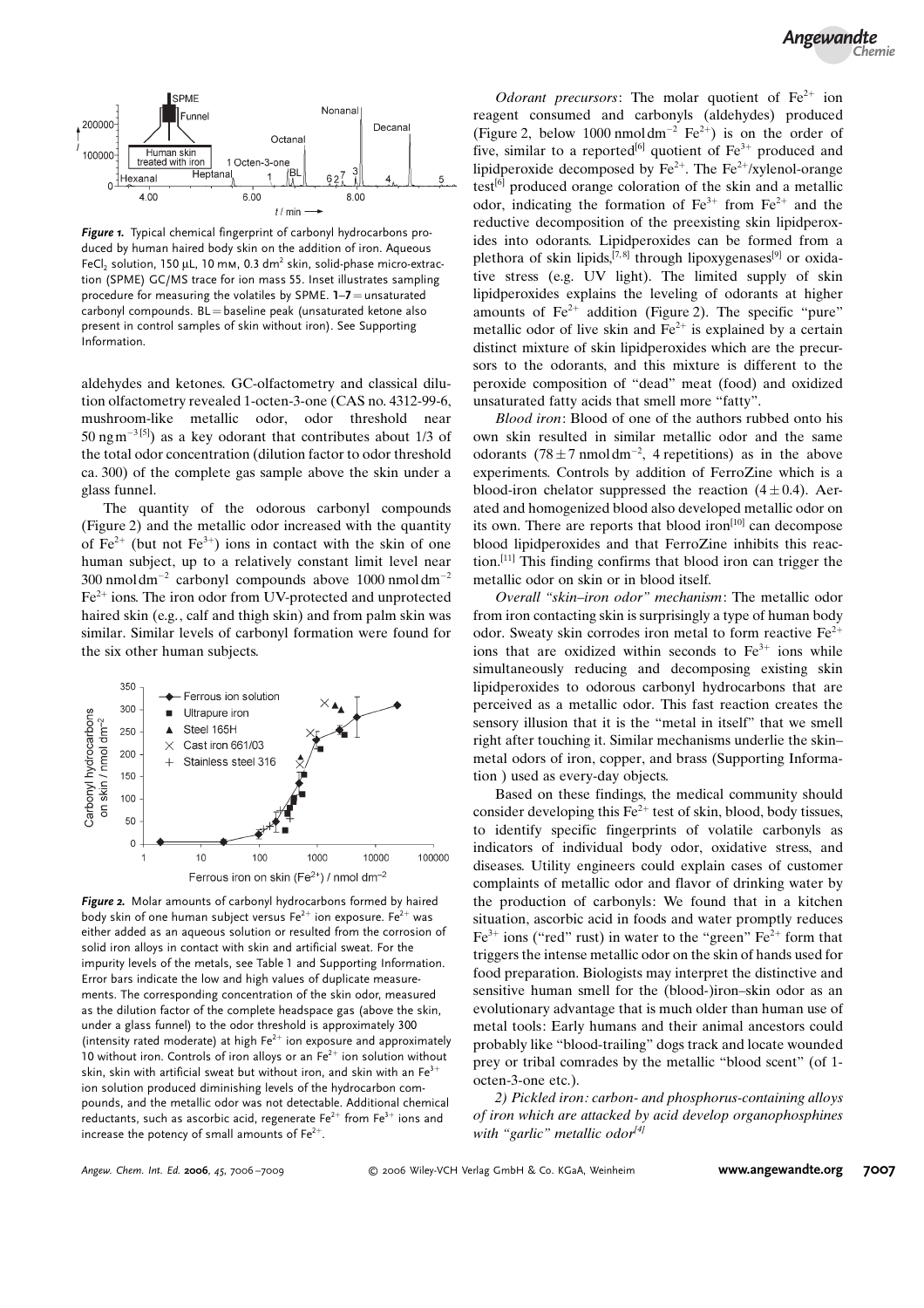

Figure 1. Typical chemical fingerprint of carbonyl hydrocarbons produced by human haired body skin on the addition of iron. Aqueous FeCl<sub>2</sub> solution, 150 µL, 10 mm, 0.3 dm<sup>2</sup> skin, solid-phase micro-extraction (SPME) GC/MS trace for ion mass 55. Inset illustrates sampling procedure for measuring the volatiles by SPME.  $1-7$  = unsaturated carbonyl compounds. BL=baseline peak (unsaturated ketone also present in control samples of skin without iron). See Supporting Information.

aldehydes and ketones. GC-olfactometry and classical dilution olfactometry revealed 1-octen-3-one (CAS no. 4312-99-6, mushroom-like metallic odor, odor threshold near 50 ngm<sup>-3[5]</sup>) as a key odorant that contributes about 1/3 of the total odor concentration (dilution factor to odor threshold ca. 300) of the complete gas sample above the skin under a glass funnel.

The quantity of the odorous carbonyl compounds (Figure 2) and the metallic odor increased with the quantity of  $Fe^{2+}$  (but not  $Fe^{3+}$ ) ions in contact with the skin of one human subject, up to a relatively constant limit level near  $300$  nmol dm<sup>-2</sup> carbonyl compounds above 1000 nmol dm<sup>-2</sup>  $Fe<sup>2+</sup>$  ions. The iron odor from UV-protected and unprotected haired skin (e.g., calf and thigh skin) and from palm skin was similar. Similar levels of carbonyl formation were found for the six other human subjects.



Figure 2. Molar amounts of carbonyl hydrocarbons formed by haired body skin of one human subject versus  $Fe^{2+}$  ion exposure.  $Fe^{2+}$  was either added as an aqueous solution or resulted from the corrosion of solid iron alloys in contact with skin and artificial sweat. For the impurity levels of the metals, see Table 1 and Supporting Information. Error bars indicate the low and high values of duplicate measurements. The corresponding concentration of the skin odor, measured as the dilution factor of the complete headspace gas (above the skin, under a glass funnel) to the odor threshold is approximately 300 (intensity rated moderate) at high  $Fe^{2+}$  ion exposure and approximately 10 without iron. Controls of iron alloys or an  $Fe<sup>2+</sup>$  ion solution without skin, skin with artificial sweat but without iron, and skin with an  $Fe<sup>3+</sup>$ ion solution produced diminishing levels of the hydrocarbon compounds, and the metallic odor was not detectable. Additional chemical reductants, such as ascorbic acid, regenerate  $Fe^{2+}$  from  $Fe^{3+}$  ions and increase the potency of small amounts of  $Fe^{2+}$ .

*Odorant precursors:* The molar quotient of  $Fe^{2+}$  ion reagent consumed and carbonyls (aldehydes) produced (Figure 2, below 1000 nmol dm<sup>-2</sup> Fe<sup>2+</sup>) is on the order of five, similar to a reported<sup>[6]</sup> quotient of  $Fe^{3+}$  produced and lipidperoxide decomposed by  $Fe^{2+}$ . The  $Fe^{2+}/x$ ylenol-orange test<sup>[6]</sup> produced orange coloration of the skin and a metallic odor, indicating the formation of  $Fe^{3+}$  from  $Fe^{2+}$  and the reductive decomposition of the preexisting skin lipidperoxides into odorants. Lipidperoxides can be formed from a plethora of skin lipids,  $[7, 8]$  through lipoxygenases<sup>[9]</sup> or oxidative stress (e.g. UV light). The limited supply of skin lipidperoxides explains the leveling of odorants at higher amounts of  $Fe^{2+}$  addition (Figure 2). The specific "pure" metallic odor of live skin and  $Fe<sup>2+</sup>$  is explained by a certain distinct mixture of skin lipidperoxides which are the precursors to the odorants, and this mixture is different to the peroxide composition of "dead" meat (food) and oxidized unsaturated fatty acids that smell more "fatty".

Blood iron: Blood of one of the authors rubbed onto his own skin resulted in similar metallic odor and the same odorants  $(78 \pm 7 \text{ nmol dm}^{-2}, 4 \text{ repetitions})$  as in the above experiments. Controls by addition of FerroZine which is a blood-iron chelator suppressed the reaction  $(4 \pm 0.4)$ . Aerated and homogenized blood also developed metallic odor on its own. There are reports that blood iron<sup>[10]</sup> can decompose blood lipidperoxides and that FerroZine inhibits this reaction.[11] This finding confirms that blood iron can trigger the metallic odor on skin or in blood itself.

Overall "skin–iron odor" mechanism: The metallic odor from iron contacting skin is surprisingly a type of human body odor. Sweaty skin corrodes iron metal to form reactive  $Fe^{2+}$ ions that are oxidized within seconds to  $Fe<sup>3+</sup>$  ions while simultaneously reducing and decomposing existing skin lipidperoxides to odorous carbonyl hydrocarbons that are perceived as a metallic odor. This fast reaction creates the sensory illusion that it is the "metal in itself" that we smell right after touching it. Similar mechanisms underlie the skin– metal odors of iron, copper, and brass (Supporting Information ) used as every-day objects.

Based on these findings, the medical community should consider developing this  $Fe^{2+}$  test of skin, blood, body tissues, to identify specific fingerprints of volatile carbonyls as indicators of individual body odor, oxidative stress, and diseases. Utility engineers could explain cases of customer complaints of metallic odor and flavor of drinking water by the production of carbonyls: We found that in a kitchen situation, ascorbic acid in foods and water promptly reduces  $Fe<sup>3+</sup>$  ions ("red" rust) in water to the "green"  $Fe<sup>2+</sup>$  form that triggers the intense metallic odor on the skin of hands used for food preparation. Biologists may interpret the distinctive and sensitive human smell for the (blood-)iron–skin odor as an evolutionary advantage that is much older than human use of metal tools: Early humans and their animal ancestors could probably like "blood-trailing" dogs track and locate wounded prey or tribal comrades by the metallic "blood scent" (of 1 octen-3-one etc.).

2) Pickled iron: carbon- and phosphorus-containing alloys of iron which are attacked by acid develop organophosphines with "garlic" metallic odor $^{[4]}$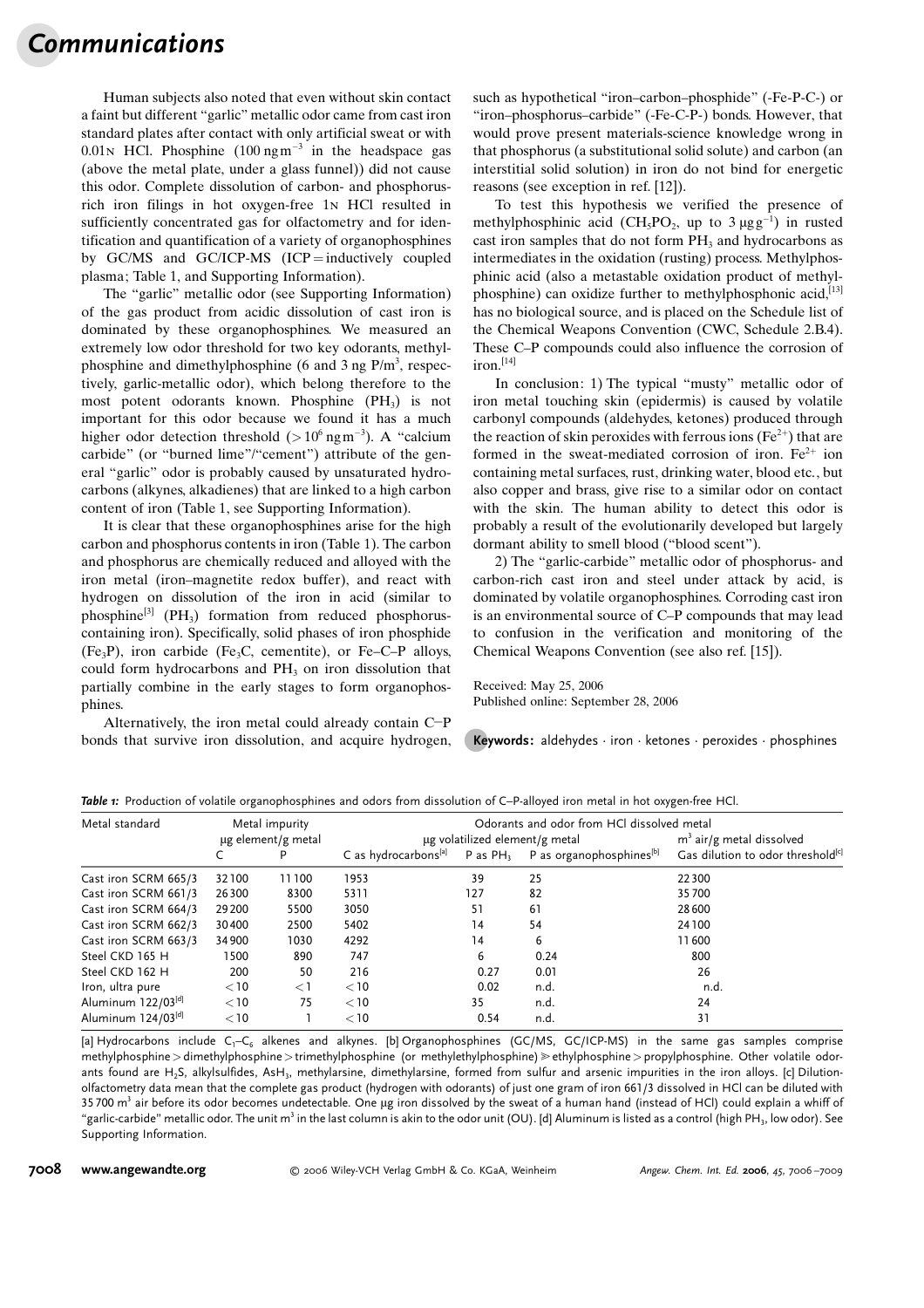## Communications

Human subjects also noted that even without skin contact a faint but different "garlic" metallic odor came from cast iron standard plates after contact with only artificial sweat or with  $0.01$ N HCl. Phosphine  $(100 \text{ ng m}^{-3})$  in the headspace gas (above the metal plate, under a glass funnel)) did not cause this odor. Complete dissolution of carbon- and phosphorusrich iron filings in hot oxygen-free 1n HCl resulted in sufficiently concentrated gas for olfactometry and for identification and quantification of a variety of organophosphines by GC/MS and GC/ICP-MS  $(ICP = inductively coupled)$ plasma; Table 1, and Supporting Information).

The "garlic" metallic odor (see Supporting Information) of the gas product from acidic dissolution of cast iron is dominated by these organophosphines. We measured an extremely low odor threshold for two key odorants, methylphosphine and dimethylphosphine (6 and 3 ng  $P/m<sup>3</sup>$ , respectively, garlic-metallic odor), which belong therefore to the most potent odorants known. Phosphine  $(PH_3)$  is not important for this odor because we found it has a much higher odor detection threshold ( $>10^6$  ngm<sup>-3</sup>). A "calcium carbide" (or "burned lime"/"cement") attribute of the general "garlic" odor is probably caused by unsaturated hydrocarbons (alkynes, alkadienes) that are linked to a high carbon content of iron (Table 1, see Supporting Information).

It is clear that these organophosphines arise for the high carbon and phosphorus contents in iron (Table 1). The carbon and phosphorus are chemically reduced and alloyed with the iron metal (iron–magnetite redox buffer), and react with hydrogen on dissolution of the iron in acid (similar to phosphine<sup>[3]</sup> (PH<sub>3</sub>) formation from reduced phosphoruscontaining iron). Specifically, solid phases of iron phosphide (Fe<sub>3</sub>P), iron carbide (Fe<sub>3</sub>C, cementite), or Fe–C–P alloys, could form hydrocarbons and  $PH<sub>3</sub>$  on iron dissolution that partially combine in the early stages to form organophosphines.

Alternatively, the iron metal could already contain C-P bonds that survive iron dissolution, and acquire hydrogen, such as hypothetical "iron–carbon–phosphide" (-Fe-P-C-) or "iron–phosphorus–carbide" (-Fe-C-P-) bonds. However, that would prove present materials-science knowledge wrong in that phosphorus (a substitutional solid solute) and carbon (an interstitial solid solution) in iron do not bind for energetic reasons (see exception in ref. [12]).

To test this hypothesis we verified the presence of methylphosphinic acid (CH<sub>5</sub>PO<sub>2</sub>, up to  $3 \mu g g^{-1}$ ) in rusted cast iron samples that do not form  $PH_3$  and hydrocarbons as intermediates in the oxidation (rusting) process. Methylphosphinic acid (also a metastable oxidation product of methylphosphine) can oxidize further to methylphosphonic acid,[13] has no biological source, and is placed on the Schedule list of the Chemical Weapons Convention (CWC, Schedule 2.B.4). These C–P compounds could also influence the corrosion of iron.[14]

In conclusion: 1) The typical "musty" metallic odor of iron metal touching skin (epidermis) is caused by volatile carbonyl compounds (aldehydes, ketones) produced through the reaction of skin peroxides with ferrous ions ( $Fe<sup>2+</sup>$ ) that are formed in the sweat-mediated corrosion of iron.  $Fe<sup>2+</sup>$  ion containing metal surfaces, rust, drinking water, blood etc., but also copper and brass, give rise to a similar odor on contact with the skin. The human ability to detect this odor is probably a result of the evolutionarily developed but largely dormant ability to smell blood ("blood scent").

2) The "garlic-carbide" metallic odor of phosphorus- and carbon-rich cast iron and steel under attack by acid, is dominated by volatile organophosphines. Corroding cast iron is an environmental source of C–P compounds that may lead to confusion in the verification and monitoring of the Chemical Weapons Convention (see also ref. [15]).

Received: May 25, 2006 Published online: September 28, 2006

Keywords: aldehydes · iron · ketones · peroxides · phosphines

Table 1: Production of volatile organophosphines and odors from dissolution of C-P-alloyed iron metal in hot oxygen-free HCl.

| Metal standard                 | Metal impurity<br>ug element/g metal |       | Odorants and odor from HCl dissolved metal |      |                                                                                            |                                               |
|--------------------------------|--------------------------------------|-------|--------------------------------------------|------|--------------------------------------------------------------------------------------------|-----------------------------------------------|
|                                |                                      |       | ug volatilized element/g metal             |      |                                                                                            | $m3$ air/g metal dissolved                    |
|                                |                                      | P     |                                            |      | C as hydrocarbons <sup>[a]</sup> P as PH <sub>3</sub> P as organophosphines <sup>[b]</sup> | Gas dilution to odor threshold <sup>[c]</sup> |
| Cast iron SCRM 665/3           | 32100                                | 11100 | 1953                                       | 39   | 25                                                                                         | 22300                                         |
| Cast iron SCRM 661/3           | 26300                                | 8300  | 5311                                       | 127  | 82                                                                                         | 35700                                         |
| Cast iron SCRM 664/3           | 29200                                | 5500  | 3050                                       | 51   | 61                                                                                         | 28600                                         |
| Cast iron SCRM 662/3           | 30400                                | 2500  | 5402                                       | 14   | 54                                                                                         | 24100                                         |
| Cast iron SCRM 663/3           | 34900                                | 1030  | 4292                                       | 14   | 6                                                                                          | 11600                                         |
| Steel CKD 165 H                | 1500                                 | 890   | 747                                        | 6    | 0.24                                                                                       | 800                                           |
| Steel CKD 162 H                | 200                                  | 50    | 216                                        | 0.27 | 0.01                                                                                       | 26                                            |
| Iron, ultra pure               | $<$ 10                               | $<$ 1 | < 10                                       | 0.02 | n.d.                                                                                       | n.d.                                          |
| Aluminum 122/03 <sup>[d]</sup> | < 10                                 | 75    | $<$ 10                                     | 35   | n.d.                                                                                       | 24                                            |
| Aluminum 124/03 <sup>[d]</sup> | $<$ 10                               |       | $<$ 10                                     | 0.54 | n.d.                                                                                       | 31                                            |

[a] Hydrocarbons include C<sub>1</sub>-C<sub>6</sub> alkenes and alkynes. [b] Organophosphines (GC/MS, GC/ICP-MS) in the same gas samples comprise methylphosphine>dimethylphosphine>trimethylphosphine (or methylethylphosphine)@ethylphosphine>propylphosphine. Other volatile odorants found are H<sub>2</sub>S, alkylsulfides, AsH<sub>3</sub>, methylarsine, dimethylarsine, formed from sulfur and arsenic impurities in the iron alloys. [c] Dilutionolfactometry data mean that the complete gas product (hydrogen with odorants) of just one gram of iron 661/3 dissolved in HCl can be diluted with 35 700  $m<sup>3</sup>$  air before its odor becomes undetectable. One ug iron dissolved by the sweat of a human hand (instead of HCl) could explain a whiff of "garlic-carbide" metallic odor. The unit m<sup>3</sup> in the last column is akin to the odor unit (OU). [d] Aluminum is listed as a control (high PH<sub>3</sub>, low odor). See Supporting Information.